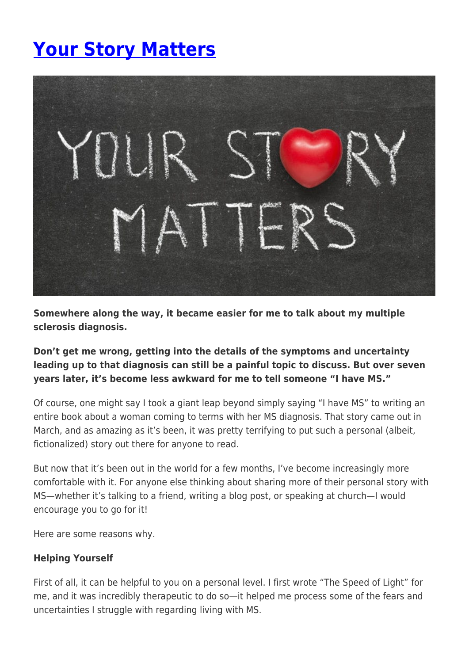# **[Your Story Matters](https://momentummagazineonline.com/blog/your-story-matters/)**



**Somewhere along the way, it became easier for me to talk about my multiple sclerosis diagnosis.**

### **Don't get me wrong, getting into the details of the symptoms and uncertainty leading up to that diagnosis can still be a painful topic to discuss. But over seven years later, it's become less awkward for me to tell someone "I have MS."**

Of course, one might say I took a giant leap beyond simply saying "I have MS" to writing an entire book about a woman coming to terms with her MS diagnosis. That story came out in March, and as amazing as it's been, it was pretty terrifying to put such a personal (albeit, fictionalized) story out there for anyone to read.

But now that it's been out in the world for a few months, I've become increasingly more comfortable with it. For anyone else thinking about sharing more of their personal story with MS—whether it's talking to a friend, writing a blog post, or speaking at church—I would encourage you to go for it!

Here are some reasons why.

#### **Helping Yourself**

First of all, it can be helpful to you on a personal level. I first wrote "The Speed of Light" for me, and it was incredibly therapeutic to do so—it helped me process some of the fears and uncertainties I struggle with regarding living with MS.